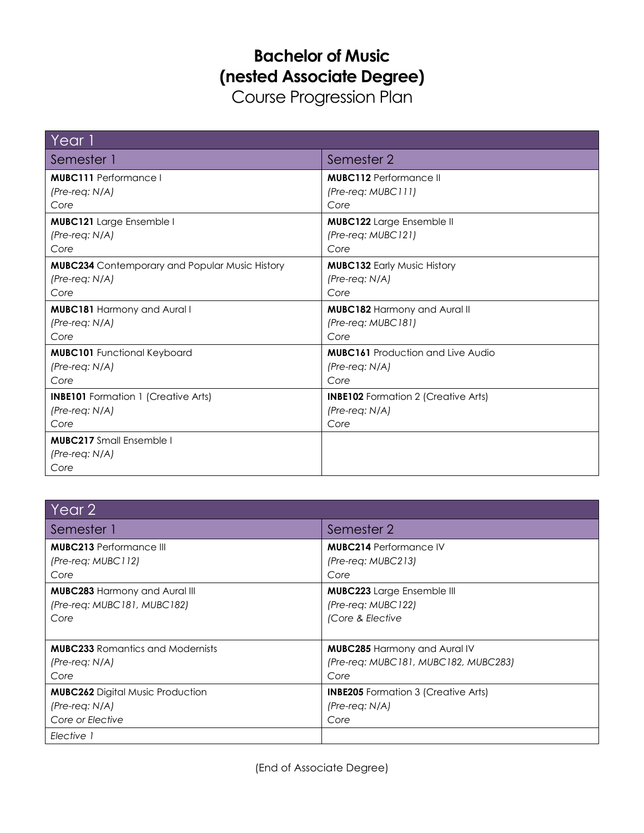## **Bachelor of Music (nested Associate Degree)**

Course Progression Plan

| Year 1,                                               |                                            |
|-------------------------------------------------------|--------------------------------------------|
| Semester 1                                            | Semester 2                                 |
| <b>MUBC111</b> Performance I                          | <b>MUBC112</b> Performance II              |
| $(Pre-reg: N/A)$                                      | $(Pre-reg: MUBCIII)$                       |
| Core                                                  | Core                                       |
| <b>MUBC121</b> Large Ensemble I                       | <b>MUBC122</b> Large Ensemble II           |
| $(Pre-reg: N/A)$                                      | (Pre-req: MUBC121)                         |
| Core                                                  | Core                                       |
| <b>MUBC234</b> Contemporary and Popular Music History | <b>MUBC132 Early Music History</b>         |
| $(Pre-reg: N/A)$                                      | $(Pre-reg: N/A)$                           |
| Core                                                  | Core                                       |
| <b>MUBC181 Harmony and Aural I</b>                    | <b>MUBC182 Harmony and Aural II</b>        |
| $(Pre-reg: N/A)$                                      | (Pre-reg: MUBC181)                         |
| Core                                                  | Core                                       |
| <b>MUBC101</b> Functional Keyboard                    | <b>MUBC161</b> Production and Live Audio   |
| $(Pre-req: N/A)$                                      | $(Pre-reg: N/A)$                           |
| Core                                                  | Core                                       |
| <b>INBE101</b> Formation 1 (Creative Arts)            | <b>INBE102</b> Formation 2 (Creative Arts) |
| $(Pre-reg: N/A)$                                      | (Pre-req: N/A)                             |
| Core                                                  | Core                                       |
| <b>MUBC217</b> Small Ensemble I                       |                                            |
| $(Pre-reg: N/A)$                                      |                                            |
| Core                                                  |                                            |

| Year 2                                  |                                            |
|-----------------------------------------|--------------------------------------------|
| Semester 1                              | Semester 2                                 |
| <b>MUBC213</b> Performance III          | <b>MUBC214 Performance IV</b>              |
| (Pre-reg: MUBC112)                      | (Pre-reg: MUBC213)                         |
| Core                                    | Core                                       |
| <b>MUBC283 Harmony and Aural III</b>    | <b>MUBC223</b> Large Ensemble III          |
| (Pre-req: MUBC181, MUBC182)             | (Pre-req: MUBC122)                         |
| Core                                    | (Core & Elective                           |
| <b>MUBC233</b> Romantics and Modernists | <b>MUBC285 Harmony and Aural IV</b>        |
| $(Pre-reg: N/A)$                        | (Pre-reg: MUBC181, MUBC182, MUBC283)       |
| Core                                    | Core                                       |
| <b>MUBC262</b> Digital Music Production | <b>INBE205</b> Formation 3 (Creative Arts) |
| $(Pre-reg: N/A)$                        | $(Pre-reg: N/A)$                           |
| Core or Elective                        | Core                                       |
| Elective 1                              |                                            |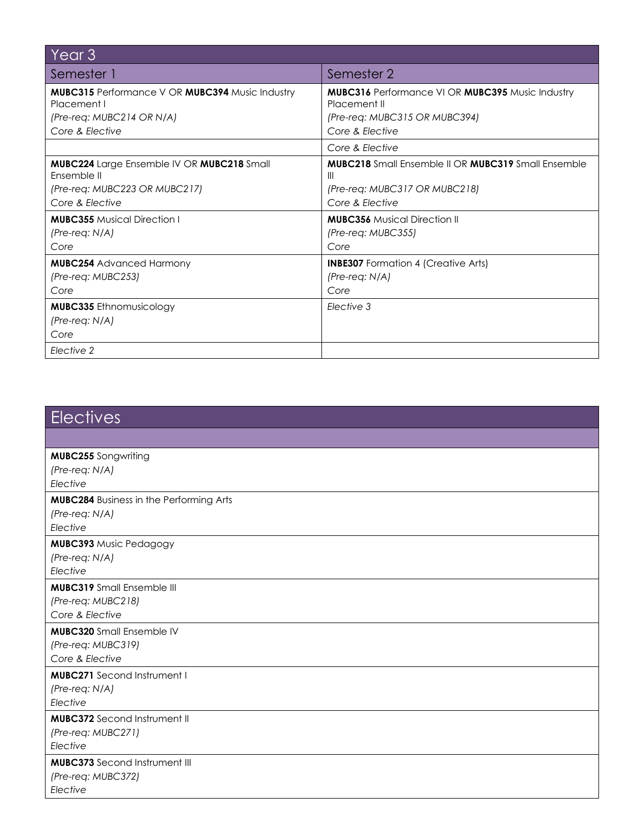| Year <sub>3</sub>                                                            |                                                                        |
|------------------------------------------------------------------------------|------------------------------------------------------------------------|
| Semester 1                                                                   | Semester 2                                                             |
| <b>MUBC315</b> Performance V OR <b>MUBC394</b> Music Industry<br>Placement I | MUBC316 Performance VI OR MUBC395 Music Industry<br>Placement II       |
| $(Pre-reg: MUBC214 OR N/A)$<br>Core & Elective                               | (Pre-req: MUBC315 OR MUBC394)<br>Core & Elective                       |
|                                                                              | Core & Flective                                                        |
| <b>MUBC224</b> Large Ensemble IV OR <b>MUBC218</b> Small<br>Ensemble II      | <b>MUBC218</b> Small Ensemble II OR <b>MUBC319</b> Small Ensemble<br>Ш |
| (Pre-req: MUBC223 OR MUBC217)                                                | (Pre-req: MUBC317 OR MUBC218)                                          |
| Core & Elective                                                              | Core & Elective                                                        |
| <b>MUBC355 Musical Direction I</b><br>$(Pre-reg: N/A)$<br>Core               | <b>MUBC356</b> Musical Direction II<br>(Pre-reg: MUBC355)<br>Core      |
| <b>MUBC254</b> Advanced Harmony<br>(Pre-req: MUBC253)<br>Core                | <b>INBE307</b> Formation 4 (Creative Arts)<br>$(Pre-reg: N/A)$<br>Core |
| <b>MUBC335</b> Ethnomusicology                                               | Elective 3                                                             |
| $(Pre-reg: N/A)$                                                             |                                                                        |
| Core                                                                         |                                                                        |
| Elective 2                                                                   |                                                                        |

| <b>Electives</b>                               |
|------------------------------------------------|
|                                                |
| <b>MUBC255</b> Songwriting                     |
| $(Pre-reg: N/A)$                               |
| Elective                                       |
| <b>MUBC284</b> Business in the Performing Arts |
| $(Pre-reg: N/A)$                               |
| Elective                                       |
| <b>MUBC393 Music Pedagogy</b>                  |
| (Pre-req: N/A)                                 |
| Elective                                       |
| <b>MUBC319</b> Small Ensemble III              |
| (Pre-req: MUBC218)                             |
| Core & Elective                                |
| <b>MUBC320</b> Small Ensemble IV               |
| (Pre-req: MUBC319)                             |
| Core & Elective                                |
| <b>MUBC271</b> Second Instrument I             |
| (Pre-req: N/A)                                 |
| Elective                                       |
| <b>MUBC372</b> Second Instrument II            |
| (Pre-req: MUBC271)                             |
| Elective                                       |
| <b>MUBC373</b> Second Instrument III           |
| (Pre-req: MUBC372)                             |
| Elective                                       |
|                                                |